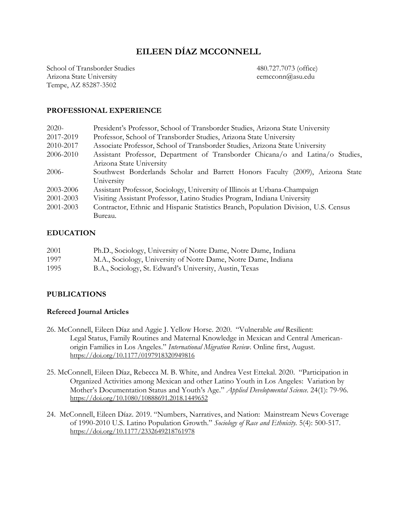# **EILEEN DÍAZ MCCONNELL**

School of Transborder Studies 480.727.7073 (office) Arizona State University eemcconn@asu.edu Tempe, AZ 85287-3502

## **PROFESSIONAL EXPERIENCE**

| $2020-$   | President's Professor, School of Transborder Studies, Arizona State University      |  |
|-----------|-------------------------------------------------------------------------------------|--|
| 2017-2019 | Professor, School of Transborder Studies, Arizona State University                  |  |
| 2010-2017 | Associate Professor, School of Transborder Studies, Arizona State University        |  |
| 2006-2010 | Assistant Professor, Department of Transborder Chicana/o and Latina/o Studies,      |  |
|           | Arizona State University                                                            |  |
| $2006-$   | Southwest Borderlands Scholar and Barrett Honors Faculty (2009), Arizona State      |  |
|           | University                                                                          |  |
| 2003-2006 | Assistant Professor, Sociology, University of Illinois at Urbana-Champaign          |  |
| 2001-2003 | Visiting Assistant Professor, Latino Studies Program, Indiana University            |  |
| 2001-2003 | Contractor, Ethnic and Hispanic Statistics Branch, Population Division, U.S. Census |  |
|           | Bureau.                                                                             |  |

## **EDUCATION**

| 2001 | Ph.D., Sociology, University of Notre Dame, Notre Dame, Indiana |
|------|-----------------------------------------------------------------|
| 1997 | M.A., Sociology, University of Notre Dame, Notre Dame, Indiana  |
| 1995 | B.A., Sociology, St. Edward's University, Austin, Texas         |

## **PUBLICATIONS**

## **Refereed Journal Articles**

- 26. McConnell, Eileen Díaz and Aggie J. Yellow Horse. 2020. "Vulnerable *and* Resilient: Legal Status, Family Routines and Maternal Knowledge in Mexican and Central Americanorigin Families in Los Angeles." *International Migration Review*. Online first, August. [https://doi.org/10.1177/0197918320949816](https://doi.org/10.1177%2F0197918320949816)
- 25. McConnell, Eileen Díaz, Rebecca M. B. White, and Andrea Vest Ettekal. 2020. "Participation in Organized Activities among Mexican and other Latino Youth in Los Angeles: Variation by Mother's Documentation Status and Youth's Age." *Applied Developmental Science.* 24(1): 79-96. <https://doi.org/10.1080/10888691.2018.1449652>
- 24. McConnell, Eileen Díaz. 2019. "Numbers, Narratives, and Nation: Mainstream News Coverage of 1990-2010 U.S. Latino Population Growth." *Sociology of Race and Ethnicity.* 5(4): 500-517. <https://doi.org/10.1177/2332649218761978>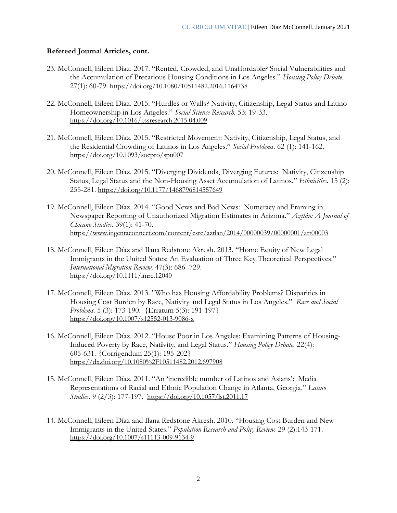## **Refereed Journal Articles, cont.**

- 23. McConnell, Eileen Díaz. 2017. "Rented, Crowded, and Unaffordable? Social Vulnerabilities and the Accumulation of Precarious Housing Conditions in Los Angeles." *Housing Policy Debate.*  27(1): 60-79. <https://doi.org/10.1080/10511482.2016.1164738>
- 22. McConnell, Eileen Díaz. 2015. "Hurdles or Walls? Nativity, Citizenship, Legal Status and Latino Homeownership in Los Angeles." *Social Science Research.* 53: 19-33. <https://doi.org/10.1016/j.ssresearch.2015.04.009>
- 21. McConnell, Eileen Díaz. 2015. "Restricted Movement: Nativity, Citizenship, Legal Status, and the Residential Crowding of Latinos in Los Angeles." *Social Problems.* 62 (1): 141-162. <https://doi.org/10.1093/socpro/spu007>
- 20. McConnell, Eileen Díaz. 2015. "Diverging Dividends, Diverging Futures: Nativity, Citizenship Status, Legal Status and the Non-Housing Asset Accumulation of Latinos." *Ethnicities.* 15 (2): 255-281. <https://doi.org/10.1177/1468796814557649>
- 19. McConnell, Eileen Díaz. 2014. "Good News and Bad News: Numeracy and Framing in Newspaper Reporting of Unauthorized Migration Estimates in Arizona." *Aztlán: A Journal of Chicano Studies*. 39(1): 41-70. <https://www.ingentaconnect.com/content/csrc/aztlan/2014/00000039/00000001/art00003>
- 18. McConnell, Eileen Díaz and Ilana Redstone Akresh. 2013. "Home Equity of New Legal Immigrants in the United States: An Evaluation of Three Key Theoretical Perspectives." *International Migration Review.* 47(3): 686–729. <https://doi.org/10.1111/imre.12040>
- 17. McConnell, Eileen Díaz. 2013. "Who has Housing Affordability Problems? Disparities in Housing Cost Burden by Race, Nativity and Legal Status in Los Angeles." *Race and Social Problems.* 5 (3): 173-190. {Erratum 5(3): 191-197} <https://doi.org/10.1007/s12552-013-9086-x>
- 16. McConnell, Eileen Díaz. 2012. "House Poor in Los Angeles: Examining Patterns of Housing-Induced Poverty by Race, Nat**i**vity, and Legal Status." *Housing Policy Debate.* 22(4): 605-631. {Corrigendum 25(1): 195-202} <https://dx.doi.org/10.1080%2F10511482.2012.697908>
- 15. McConnell, Eileen Díaz. 2011. "An 'incredible number of Latinos and Asians': Media Representations of Racial and Ethnic Population Change in Atlanta, Georgia." *Latino Studies.* 9 (2/3): 177-197. <https://doi.org/10.1057/lst.2011.17>
- 14. McConnell, Eileen Díaz and Ilana Redstone Akresh. 2010. "Housing Cost Burden and New Immigrants in the United States." *Population Research and Policy Review.* 29 (2):143-171. <https://doi.org/10.1007/s11113-009-9134-9>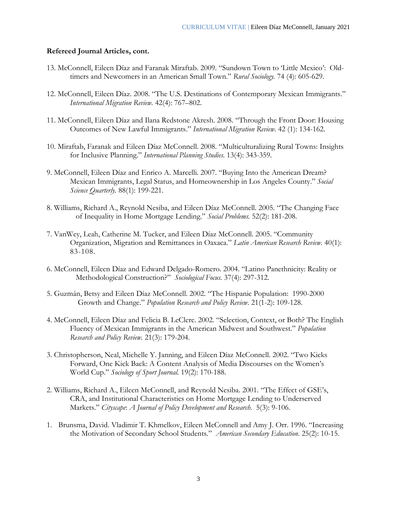#### **Refereed Journal Articles, cont.**

- 13. McConnell, Eileen Díaz and Faranak Miraftab. 2009. "Sundown Town to 'Little Mexico': Oldtimers and Newcomers in an American Small Town." *Rural Sociology.* 74 (4): 605-629.
- 12. McConnell, Eileen Díaz. 2008. "The U.S. Destinations of Contemporary Mexican Immigrants." *International Migration Review.* 42(4): 767–802.
- 11. McConnell, Eileen Díaz and Ilana Redstone Akresh. 2008. "Through the Front Door: Housing Outcomes of New Lawful Immigrants." *International Migration Review.* 42 (1): 134-162.
- 10. Miraftab, Faranak and Eileen Díaz McConnell. 2008. "Multiculturalizing Rural Towns: Insights for Inclusive Planning." *International Planning Studies.* 13(4): 343-359.
- 9. McConnell, Eileen Díaz and Enrico A. Marcelli. 2007. "Buying Into the American Dream? Mexican Immigrants, Legal Status, and Homeownership in Los Angeles County." *Social Science Quarterly.* 88(1): 199-221.
- 8. Williams, Richard A., Reynold Nesiba, and Eileen Díaz McConnell. 2005. "The Changing Face of Inequality in Home Mortgage Lending." *Social Problems.* 52(2): 181-208.
- 7. VanWey, Leah, Catherine M. Tucker, and Eileen Díaz McConnell. 2005. "Community Organization, Migration and Remittances in Oaxaca." *Latin American Research Review.* 40(1): 83-108.
- 6. McConnell, Eileen Díaz and Edward Delgado-Romero. 2004. "Latino Panethnicity: Reality or Methodological Construction?" *Sociological Focus.* 37(4): 297-312.
- 5. Guzmán, Betsy and Eileen Díaz McConnell. 2002. "The Hispanic Population: 1990-2000 Growth and Change." *Population Research and Policy Review.* 21(1-2): 109-128.
- 4. McConnell, Eileen Díaz and Felicia B. LeClere. 2002. "Selection, Context, or Both? The English Fluency of Mexican Immigrants in the American Midwest and Southwest." *Population Research and Policy Review.* 21(3): 179-204.
- 3. Christopherson, Neal, Michelle Y. Janning, and Eileen Díaz McConnell. 2002. "Two Kicks Forward, One Kick Back: A Content Analysis of Media Discourses on the Women's World Cup." *Sociology of Sport Journal.* 19(2): 170-188.
- 2. Williams, Richard A., Eileen McConnell, and Reynold Nesiba. 2001. "The Effect of GSE's, CRA, and Institutional Characteristics on Home Mortgage Lending to Underserved Markets." *Cityscape*: *A Journal of Policy Development and Research*. 5(3): 9-106.
- 1. Brunsma, David. Vladimir T. Khmelkov, Eileen McConnell and Amy J. Orr. 1996. "Increasing the Motivation of Secondary School Students*.*" *American Secondary Education*. 25(2): 10-15.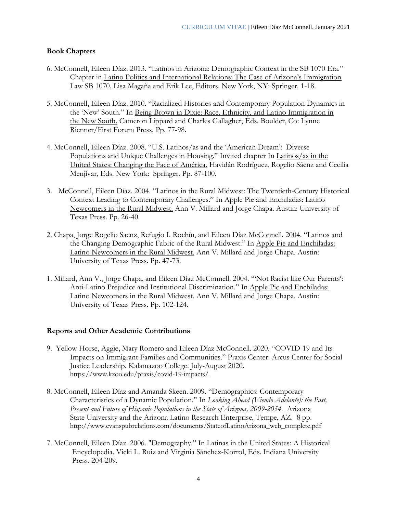## **Book Chapters**

- 6. McConnell, Eileen Díaz. 2013. "Latinos in Arizona: Demographic Context in the SB 1070 Era." Chapter in Latino Politics and International Relations: The Case of Arizona's Immigration Law SB 1070. Lisa Magaña and Erik Lee, Editors. New York, NY: Springer. 1-18.
- 5. McConnell, Eileen Díaz. 2010. "Racialized Histories and Contemporary Population Dynamics in the 'New' South." In Being Brown in Dixie: Race, Ethnicity, and Latino Immigration in the New South. Cameron Lippard and Charles Gallagher, Eds. Boulder, Co: Lynne Rienner/First Forum Press. Pp. 77-98.
- 4. McConnell, Eileen Díaz. 2008. "U.S. Latinos/as and the 'American Dream': Diverse Populations and Unique Challenges in Housing." Invited chapter In Latinos/as in the United States: Changing the Face of América. Havidán Rodríguez, Rogelio Sáenz and Cecilia Menjívar, Eds. New York: Springer. Pp. 87-100.
- 3. McConnell, Eileen Díaz. 2004. "Latinos in the Rural Midwest: The Twentieth-Century Historical Context Leading to Contemporary Challenges." In Apple Pie and Enchiladas: Latino Newcomers in the Rural Midwest. Ann V. Millard and Jorge Chapa. Austin: University of Texas Press. Pp. 26-40.
- 2. Chapa, Jorge Rogelio Saenz, Refugio I. Rochín, and Eileen Díaz McConnell. 2004. "Latinos and the Changing Demographic Fabric of the Rural Midwest." In Apple Pie and Enchiladas: Latino Newcomers in the Rural Midwest. Ann V. Millard and Jorge Chapa. Austin: University of Texas Press. Pp. 47-73.
- 1. Millard, Ann V., Jorge Chapa, and Eileen Díaz McConnell. 2004. "'Not Racist like Our Parents': Anti-Latino Prejudice and Institutional Discrimination." In Apple Pie and Enchiladas: Latino Newcomers in the Rural Midwest. Ann V. Millard and Jorge Chapa. Austin: University of Texas Press. Pp. 102-124.

## **Reports and Other Academic Contributions**

- 9. Yellow Horse, Aggie, Mary Romero and Eileen Díaz McConnell. 2020. "COVID-19 and Its Impacts on Immigrant Families and Communities." Praxis Center: Arcus Center for Social Justice Leadership. Kalamazoo College. July-August 2020. <https://www.kzoo.edu/praxis/covid-19-impacts/>
- 8. McConnell, Eileen Díaz and Amanda Skeen. 2009. "Demographics: Contemporary Characteristics of a Dynamic Population." In *Looking Ahead (Viendo Adelante): the Past, Present and Future of Hispanic Populations in the State of Arizona, 2009-2034.* Arizona State University and the Arizona Latino Research Enterprise, Tempe, AZ. 8 pp. http://www.evanspubrelations.com/documents/StateofLatinoArizona\_web\_complete.pdf
- 7. McConnell, Eileen Díaz. 2006. "Demography." In Latinas in the United States: A Historical Encyclopedia. Vicki L. Ruiz and Virginia Sánchez-Korrol, Eds. Indiana University Press. 204-209.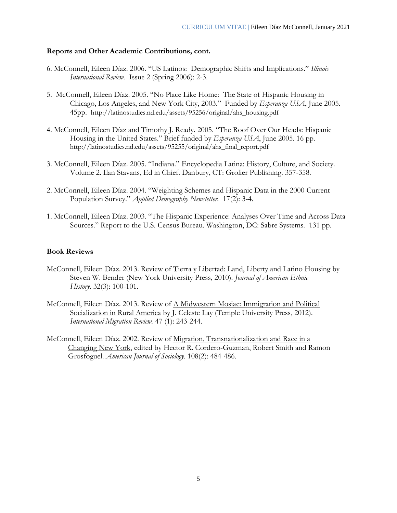#### **Reports and Other Academic Contributions, cont.**

- 6. McConnell, Eileen Díaz. 2006. "US Latinos: Demographic Shifts and Implications." *Illinois International Review.* Issue 2 (Spring 2006): 2-3.
- 5. McConnell, Eileen Díaz. 2005. "No Place Like Home: The State of Hispanic Housing in Chicago, Los Angeles, and New York City, 2003." Funded by *Esperanza USA*, June 2005. 45pp. http://latinostudies.nd.edu/assets/95256/original/ahs\_housing.pdf
- 4. McConnell, Eileen Díaz and Timothy J. Ready. 2005. "The Roof Over Our Heads: Hispanic Housing in the United States." Brief funded by *Esperanza USA*, June 2005. 16 pp. http://latinostudies.nd.edu/assets/95255/original/ahs\_final\_report.pdf
- 3. McConnell, Eileen Díaz. 2005. "Indiana." Encyclopedia Latina: History, Culture, and Society. Volume 2. Ilan Stavans, Ed in Chief. Danbury, CT: Grolier Publishing. 357-358.
- 2. McConnell, Eileen Díaz. 2004. "Weighting Schemes and Hispanic Data in the 2000 Current Population Survey." *Applied Demography Newsletter.* 17(2): 3-4.
- 1. McConnell, Eileen Díaz. 2003. "The Hispanic Experience: Analyses Over Time and Across Data Sources." Report to the U.S. Census Bureau. Washington, DC: Sabre Systems. 131 pp.

#### **Book Reviews**

- McConnell, Eileen Díaz. 2013. Review of Tierra y Libertad: Land, Liberty and Latino Housing by Steven W. Bender (New York University Press, 2010). *Journal of American Ethnic History*. 32(3): 100-101.
- McConnell, Eileen Díaz. 2013. Review of A Midwestern Mosiac: Immigration and Political Socialization in Rural America by J. Celeste Lay (Temple University Press, 2012). *International Migration Review.* 47 (1): 243-244.
- McConnell, Eileen Díaz. 2002. Review of Migration, Transnationalization and Race in a Changing New York, edited by Hector R. Cordero-Guzman, Robert Smith and Ramon Grosfoguel. *American Journal of Sociology.* 108(2): 484-486.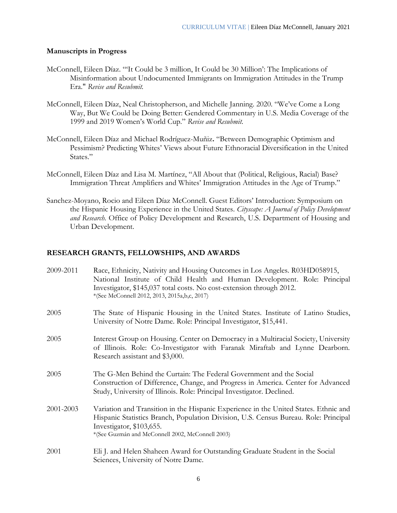#### **Manuscripts in Progress**

- McConnell, Eileen Díaz. "'It Could be 3 million, It Could be 30 Million': The Implications of Misinformation about Undocumented Immigrants on Immigration Attitudes in the Trump Era." *Revise and Resubmit.*
- McConnell, Eileen Díaz, Neal Christopherson, and Michelle Janning. 2020. "We've Come a Long Way, But We Could be Doing Better: Gendered Commentary in U.S. Media Coverage of the 1999 and 2019 Women's World Cup." *Revise and Resubmit.*
- McConnell, Eileen Díaz and Michael Rodríguez-Muñiz**.** "Between Demographic Optimism and Pessimism? Predicting Whites' Views about Future Ethnoracial Diversification in the United States."
- McConnell, Eileen Díaz and Lisa M. Martínez, "All About that (Political, Religious, Racial) Base? Immigration Threat Amplifiers and Whites' Immigration Attitudes in the Age of Trump."
- Sanchez-Moyano, Rocio and Eileen Díaz McConnell. Guest Editors' Introduction: Symposium on the Hispanic Housing Experience in the United States. *Cityscape: A Journal of Policy Development and Research.* Office of Policy Development and Research, U.S. Department of Housing and Urban Development.

## **RESEARCH GRANTS, FELLOWSHIPS, AND AWARDS**

| 2009-2011 | Race, Ethnicity, Nativity and Housing Outcomes in Los Angeles. R03HD058915,<br>National Institute of Child Health and Human Development. Role: Principal<br>Investigator, \$145,037 total costs. No cost-extension through 2012.<br>*(See McConnell 2012, 2013, 2015a,b,c, 2017) |
|-----------|----------------------------------------------------------------------------------------------------------------------------------------------------------------------------------------------------------------------------------------------------------------------------------|
| 2005      | The State of Hispanic Housing in the United States. Institute of Latino Studies,<br>University of Notre Dame. Role: Principal Investigator, \$15,441.                                                                                                                            |
| 2005      | Interest Group on Housing. Center on Democracy in a Multiracial Society, University<br>of Illinois. Role: Co-Investigator with Faranak Miraftab and Lynne Dearborn.<br>Research assistant and \$3,000.                                                                           |
| 2005      | The G-Men Behind the Curtain: The Federal Government and the Social<br>Construction of Difference, Change, and Progress in America. Center for Advanced<br>Study, University of Illinois. Role: Principal Investigator. Declined.                                                |
| 2001-2003 | Variation and Transition in the Hispanic Experience in the United States. Ethnic and<br>Hispanic Statistics Branch, Population Division, U.S. Census Bureau. Role: Principal<br>Investigator, \$103,655.<br>*(See Guzmán and McConnell 2002, McConnell 2003)                     |
| 2001      | Eli J. and Helen Shaheen Award for Outstanding Graduate Student in the Social<br>Sciences, University of Notre Dame.                                                                                                                                                             |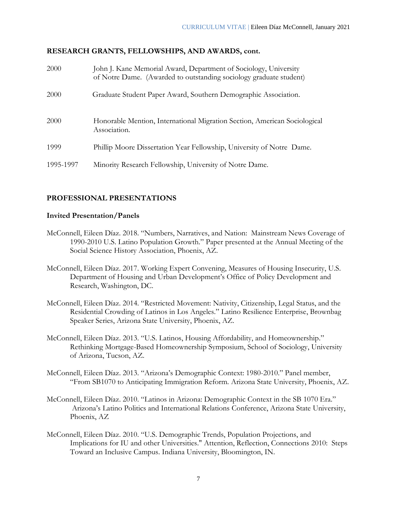## **RESEARCH GRANTS, FELLOWSHIPS, AND AWARDS, cont.**

| 2000      | John J. Kane Memorial Award, Department of Sociology, University<br>of Notre Dame. (Awarded to outstanding sociology graduate student) |
|-----------|----------------------------------------------------------------------------------------------------------------------------------------|
| 2000      | Graduate Student Paper Award, Southern Demographic Association.                                                                        |
| 2000      | Honorable Mention, International Migration Section, American Sociological<br>Association.                                              |
| 1999      | Phillip Moore Dissertation Year Fellowship, University of Notre Dame.                                                                  |
| 1995-1997 | Minority Research Fellowship, University of Notre Dame.                                                                                |

## **PROFESSIONAL PRESENTATIONS**

#### **Invited Presentation/Panels**

- McConnell, Eileen Díaz. 2018. "Numbers, Narratives, and Nation: Mainstream News Coverage of 1990-2010 U.S. Latino Population Growth." Paper presented at the Annual Meeting of the Social Science History Association, Phoenix, AZ.
- McConnell, Eileen Díaz. 2017. Working Expert Convening, Measures of Housing Insecurity, U.S. Department of Housing and Urban Development's Office of Policy Development and Research, Washington, DC.
- McConnell, Eileen Díaz. 2014. "Restricted Movement: Nativity, Citizenship, Legal Status, and the Residential Crowding of Latinos in Los Angeles." Latino Resilience Enterprise, Brownbag Speaker Series, Arizona State University, Phoenix, AZ.
- McConnell, Eileen Díaz. 2013. "U.S. Latinos, Housing Affordability, and Homeownership." Rethinking Mortgage-Based Homeownership Symposium, School of Sociology, University of Arizona, Tucson, AZ.
- McConnell, Eileen Díaz. 2013. "Arizona's Demographic Context: 1980-2010." Panel member, "From SB1070 to Anticipating Immigration Reform. Arizona State University, Phoenix, AZ.
- McConnell, Eileen Díaz. 2010. "Latinos in Arizona: Demographic Context in the SB 1070 Era." Arizona's Latino Politics and International Relations Conference, Arizona State University, Phoenix, AZ
- McConnell, Eileen Díaz. 2010. "U.S. Demographic Trends, Population Projections, and Implications for IU and other Universities." Attention, Reflection, Connections 2010: Steps Toward an Inclusive Campus. Indiana University, Bloomington, IN.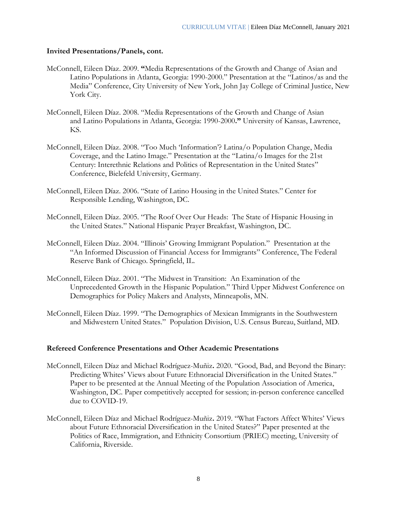## **Invited Presentations/Panels, cont.**

- McConnell, Eileen Díaz. 2009. **"**Media Representations of the Growth and Change of Asian and Latino Populations in Atlanta, Georgia: 1990-2000." Presentation at the "Latinos/as and the Media" Conference, City University of New York, John Jay College of Criminal Justice, New York City.
- McConnell, Eileen Díaz. 2008. "Media Representations of the Growth and Change of Asian and Latino Populations in Atlanta, Georgia: 1990-2000**."** University of Kansas, Lawrence, KS.
- McConnell, Eileen Díaz. 2008. "Too Much 'Information'? Latina/o Population Change, Media Coverage, and the Latino Image." Presentation at the "Latina/o Images for the 21st Century: Interethnic Relations and Politics of Representation in the United States" Conference, Bielefeld University, Germany.
- McConnell, Eileen Díaz. 2006. "State of Latino Housing in the United States." Center for Responsible Lending, Washington, DC.
- McConnell, Eileen Díaz. 2005. "The Roof Over Our Heads: The State of Hispanic Housing in the United States." National Hispanic Prayer Breakfast, Washington, DC.
- McConnell, Eileen Díaz. 2004. "Illinois' Growing Immigrant Population." Presentation at the "An Informed Discussion of Financial Access for Immigrants" Conference, The Federal Reserve Bank of Chicago. Springfield, IL.
- McConnell, Eileen Díaz. 2001. "The Midwest in Transition: An Examination of the Unprecedented Growth in the Hispanic Population." Third Upper Midwest Conference on Demographics for Policy Makers and Analysts, Minneapolis, MN.
- McConnell, Eileen Díaz. 1999. "The Demographics of Mexican Immigrants in the Southwestern and Midwestern United States." Population Division, U.S. Census Bureau, Suitland, MD.

#### **Refereed Conference Presentations and Other Academic Presentations**

- McConnell, Eileen Díaz and Michael Rodríguez-Muñiz**.** 2020. "Good, Bad, and Beyond the Binary: Predicting Whites' Views about Future Ethnoracial Diversification in the United States." Paper to be presented at the Annual Meeting of the Population Association of America, Washington, DC. Paper competitively accepted for session; in-person conference cancelled due to COVID-19.
- McConnell, Eileen Díaz and Michael Rodríguez-Muñiz**.** 2019. "What Factors Affect Whites' Views about Future Ethnoracial Diversification in the United States?" Paper presented at the Politics of Race, Immigration, and Ethnicity Consortium (PRIEC) meeting, University of California, Riverside.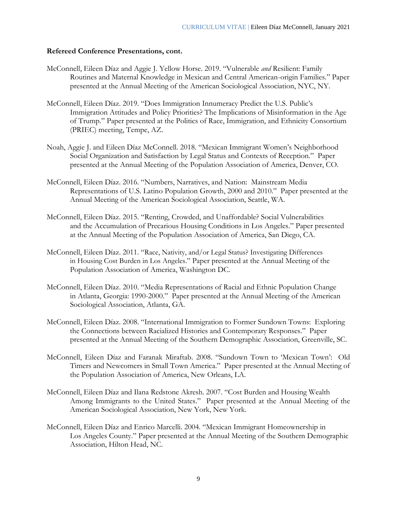### **Refereed Conference Presentations, cont.**

- McConnell, Eileen Díaz and Aggie J. Yellow Horse. 2019. "Vulnerable *and* Resilient: Family Routines and Maternal Knowledge in Mexican and Central American-origin Families." Paper presented at the Annual Meeting of the American Sociological Association, NYC, NY.
- McConnell, Eileen Díaz. 2019. "Does Immigration Innumeracy Predict the U.S. Public's Immigration Attitudes and Policy Priorities? The Implications of Misinformation in the Age of Trump." Paper presented at the Politics of Race, Immigration, and Ethnicity Consortium (PRIEC) meeting, Tempe, AZ.
- Noah, Aggie J. and Eileen Díaz McConnell. 2018. "Mexican Immigrant Women's Neighborhood Social Organization and Satisfaction by Legal Status and Contexts of Reception." Paper presented at the Annual Meeting of the Population Association of America, Denver, CO.
- McConnell, Eileen Díaz. 2016. "Numbers, Narratives, and Nation: Mainstream Media Representations of U.S. Latino Population Growth, 2000 and 2010." Paper presented at the Annual Meeting of the American Sociological Association, Seattle, WA.
- McConnell, Eileen Díaz. 2015. "Renting, Crowded, and Unaffordable? Social Vulnerabilities and the Accumulation of Precarious Housing Conditions in Los Angeles." Paper presented at the Annual Meeting of the Population Association of America, San Diego, CA.
- McConnell, Eileen Díaz. 2011. "Race, Nativity, and/or Legal Status? Investigating Differences in Housing Cost Burden in Los Angeles." Paper presented at the Annual Meeting of the Population Association of America, Washington DC.
- McConnell, Eileen Díaz. 2010. "Media Representations of Racial and Ethnic Population Change in Atlanta, Georgia: 1990-2000." Paper presented at the Annual Meeting of the American Sociological Association, Atlanta, GA.
- McConnell, Eileen Díaz. 2008. "International Immigration to Former Sundown Towns: Exploring the Connections between Racialized Histories and Contemporary Responses." Paper presented at the Annual Meeting of the Southern Demographic Association, Greenville, SC.
- McConnell, Eileen Díaz and Faranak Miraftab. 2008. "Sundown Town to 'Mexican Town': Old Timers and Newcomers in Small Town America." Paper presented at the Annual Meeting of the Population Association of America, New Orleans, LA.
- McConnell, Eileen Díaz and Ilana Redstone Akresh. 2007. "Cost Burden and Housing Wealth Among Immigrants to the United States." Paper presented at the Annual Meeting of the American Sociological Association, New York, New York.
- McConnell, Eileen Díaz and Enrico Marcelli. 2004. "Mexican Immigrant Homeownership in Los Angeles County." Paper presented at the Annual Meeting of the Southern Demographic Association, Hilton Head, NC.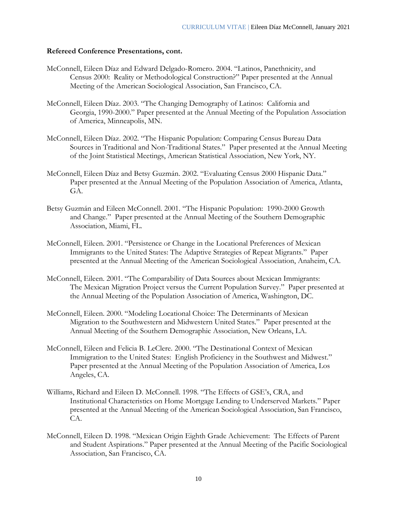#### **Refereed Conference Presentations, cont.**

- McConnell, Eileen Díaz and Edward Delgado-Romero. 2004. "Latinos, Panethnicity, and Census 2000: Reality or Methodological Construction?" Paper presented at the Annual Meeting of the American Sociological Association, San Francisco, CA.
- McConnell, Eileen Díaz. 2003. "The Changing Demography of Latinos: California and Georgia, 1990-2000." Paper presented at the Annual Meeting of the Population Association of America, Minneapolis, MN.
- McConnell, Eileen Díaz. 2002. "The Hispanic Population: Comparing Census Bureau Data Sources in Traditional and Non-Traditional States." Paper presented at the Annual Meeting of the Joint Statistical Meetings, American Statistical Association, New York, NY.
- McConnell, Eileen Díaz and Betsy Guzmán. 2002. "Evaluating Census 2000 Hispanic Data." Paper presented at the Annual Meeting of the Population Association of America, Atlanta, GA.
- Betsy Guzmán and Eileen McConnell. 2001. "The Hispanic Population: 1990-2000 Growth and Change." Paper presented at the Annual Meeting of the Southern Demographic Association, Miami, FL.
- McConnell, Eileen. 2001. "Persistence or Change in the Locational Preferences of Mexican Immigrants to the United States: The Adaptive Strategies of Repeat Migrants." Paper presented at the Annual Meeting of the American Sociological Association, Anaheim, CA.
- McConnell, Eileen. 2001. "The Comparability of Data Sources about Mexican Immigrants: The Mexican Migration Project versus the Current Population Survey." Paper presented at the Annual Meeting of the Population Association of America, Washington, DC.
- McConnell, Eileen. 2000. "Modeling Locational Choice: The Determinants of Mexican Migration to the Southwestern and Midwestern United States." Paper presented at the Annual Meeting of the Southern Demographic Association, New Orleans, LA.
- McConnell, Eileen and Felicia B. LeClere. 2000. "The Destinational Context of Mexican Immigration to the United States: English Proficiency in the Southwest and Midwest." Paper presented at the Annual Meeting of the Population Association of America, Los Angeles, CA.
- Williams, Richard and Eileen D. McConnell. 1998. "The Effects of GSE's, CRA, and Institutional Characteristics on Home Mortgage Lending to Underserved Markets." Paper presented at the Annual Meeting of the American Sociological Association, San Francisco, CA.
- McConnell, Eileen D. 1998. "Mexican Origin Eighth Grade Achievement: The Effects of Parent and Student Aspirations." Paper presented at the Annual Meeting of the Pacific Sociological Association, San Francisco, CA.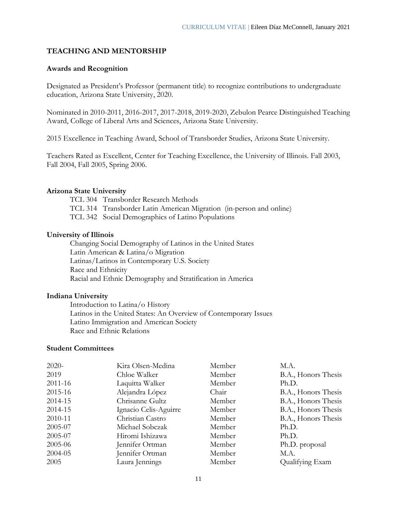## **TEACHING AND MENTORSHIP**

#### **Awards and Recognition**

Designated as President's Professor (permanent title) to recognize contributions to undergraduate education, Arizona State University, 2020.

Nominated in 2010-2011, 2016-2017, 2017-2018, 2019-2020, Zebulon Pearce Distinguished Teaching Award, College of Liberal Arts and Sciences, Arizona State University.

2015 Excellence in Teaching Award, School of Transborder Studies, Arizona State University.

Teachers Rated as Excellent, Center for Teaching Excellence, the University of Illinois. Fall 2003, Fall 2004, Fall 2005, Spring 2006.

#### **Arizona State University**

TCL 304 Transborder Research Methods TCL 314 Transborder Latin American Migration (in-person and online) TCL 342 Social Demographics of Latino Populations

#### **University of Illinois**

Changing Social Demography of Latinos in the United States Latin American & Latina/o Migration Latinas/Latinos in Contemporary U.S. Society Race and Ethnicity Racial and Ethnic Demography and Stratification in America

#### **Indiana University**

Introduction to Latina/o History Latinos in the United States: An Overview of Contemporary Issues Latino Immigration and American Society Race and Ethnic Relations

#### **Student Committees**

| $2020-$ | Kira Olsen-Medina     | Member | M.A.                |
|---------|-----------------------|--------|---------------------|
| 2019    | Chloe Walker          | Member | B.A., Honors Thesis |
| 2011-16 | Laquitta Walker       | Member | Ph.D.               |
| 2015-16 | Alejandra López       | Chair  | B.A., Honors Thesis |
| 2014-15 | Chrisanne Gultz       | Member | B.A., Honors Thesis |
| 2014-15 | Ignacio Celis-Aguirre | Member | B.A., Honors Thesis |
| 2010-11 | Christian Castro      | Member | B.A., Honors Thesis |
| 2005-07 | Michael Sobczak       | Member | Ph.D.               |
| 2005-07 | Hiromi Ishizawa       | Member | Ph.D.               |
| 2005-06 | Jennifer Ortman       | Member | Ph.D. proposal      |
| 2004-05 | Jennifer Ortman       | Member | M.A.                |
| 2005    | Laura Jennings        | Member | Qualifying Exam     |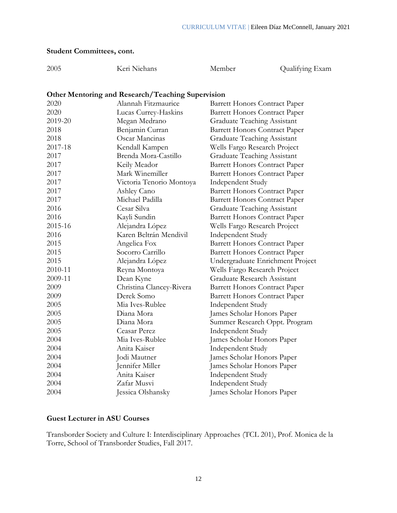## **Student Committees, cont.**

| 2005    | Keri Niehans                                      | Member                               | Qualifying Exam |
|---------|---------------------------------------------------|--------------------------------------|-----------------|
|         |                                                   |                                      |                 |
|         | Other Mentoring and Research/Teaching Supervision |                                      |                 |
| 2020    | Alannah Fitzmaurice                               | <b>Barrett Honors Contract Paper</b> |                 |
| 2020    | Lucas Currey-Haskins                              | <b>Barrett Honors Contract Paper</b> |                 |
| 2019-20 | Megan Medrano                                     | Graduate Teaching Assistant          |                 |
| 2018    | Benjamin Curran                                   | <b>Barrett Honors Contract Paper</b> |                 |
| 2018    | Oscar Mancinas                                    | <b>Graduate Teaching Assistant</b>   |                 |
| 2017-18 | Kendall Kampen                                    | Wells Fargo Research Project         |                 |
| 2017    | Brenda Mora-Castillo                              | <b>Graduate Teaching Assistant</b>   |                 |
| 2017    | Keily Meador                                      | <b>Barrett Honors Contract Paper</b> |                 |
| 2017    | Mark Winemiller                                   | <b>Barrett Honors Contract Paper</b> |                 |
| 2017    | Victoria Tenorio Montoya                          | Independent Study                    |                 |
| 2017    | Ashley Cano                                       | <b>Barrett Honors Contract Paper</b> |                 |
| 2017    | Michael Padilla                                   | <b>Barrett Honors Contract Paper</b> |                 |
| 2016    | Cesar Silva                                       | <b>Graduate Teaching Assistant</b>   |                 |
| 2016    | Kayli Sundin                                      | <b>Barrett Honors Contract Paper</b> |                 |
| 2015-16 | Alejandra López                                   | Wells Fargo Research Project         |                 |
| 2016    | Karen Beltrán Mendivil                            | Independent Study                    |                 |
| 2015    | Angelica Fox                                      | <b>Barrett Honors Contract Paper</b> |                 |
| 2015    | Socorro Carrillo                                  | <b>Barrett Honors Contract Paper</b> |                 |
| 2015    | Alejandra López                                   | Undergraduate Enrichment Project     |                 |
| 2010-11 | Reyna Montoya                                     | Wells Fargo Research Project         |                 |
| 2009-11 | Dean Kyne                                         | Graduate Research Assistant          |                 |
| 2009    | Christina Clancey-Rivera                          | <b>Barrett Honors Contract Paper</b> |                 |
| 2009    | Derek Somo                                        | <b>Barrett Honors Contract Paper</b> |                 |
| 2005    | Mia Ives-Rublee                                   | Independent Study                    |                 |
| 2005    | Diana Mora                                        | James Scholar Honors Paper           |                 |
| 2005    | Diana Mora                                        | Summer Research Oppt. Program        |                 |
| 2005    | Ceasar Perez                                      | Independent Study                    |                 |
| 2004    | Mia Ives-Rublee                                   | James Scholar Honors Paper           |                 |
| 2004    | Anita Kaiser                                      | Independent Study                    |                 |
| 2004    | Jodi Mautner                                      | James Scholar Honors Paper           |                 |
| 2004    | Jennifer Miller                                   | James Scholar Honors Paper           |                 |
| 2004    | Anita Kaiser                                      | <b>Independent Study</b>             |                 |
| 2004    | Zafar Musvi                                       | <b>Independent Study</b>             |                 |
| 2004    | Jessica Olshansky                                 | James Scholar Honors Paper           |                 |

## **Guest Lecturer in ASU Courses**

Transborder Society and Culture I: Interdisciplinary Approaches (TCL 201), Prof. Monica de la Torre, School of Transborder Studies, Fall 2017.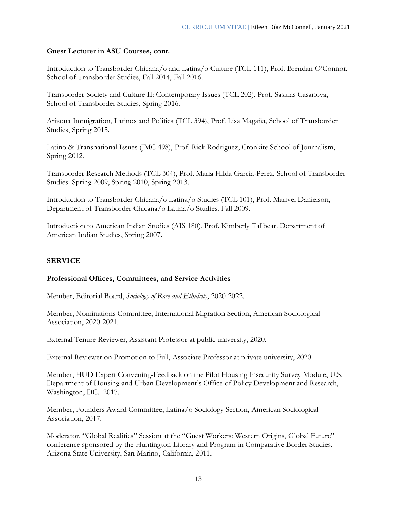## **Guest Lecturer in ASU Courses, cont.**

Introduction to Transborder Chicana/o and Latina/o Culture (TCL 111), Prof. Brendan O'Connor, School of Transborder Studies, Fall 2014, Fall 2016.

Transborder Society and Culture II: Contemporary Issues (TCL 202), Prof. Saskias Casanova, School of Transborder Studies, Spring 2016.

Arizona Immigration, Latinos and Politics (TCL 394), Prof. Lisa Magaña, School of Transborder Studies, Spring 2015.

Latino & Transnational Issues (JMC 498), Prof. Rick Rodríguez, Cronkite School of Journalism, Spring 2012.

Transborder Research Methods (TCL 304), Prof. Maria Hilda Garcia-Perez, School of Transborder Studies. Spring 2009, Spring 2010, Spring 2013.

Introduction to Transborder Chicana/o Latina/o Studies (TCL 101), Prof. Marivel Danielson, Department of Transborder Chicana/o Latina/o Studies. Fall 2009.

Introduction to American Indian Studies (AIS 180), Prof. Kimberly Tallbear. Department of American Indian Studies, Spring 2007.

## **SERVICE**

## **Professional Offices, Committees, and Service Activities**

Member, Editorial Board, *Sociology of Race and Ethnicity*, 2020-2022.

Member, Nominations Committee, International Migration Section, American Sociological Association, 2020-2021.

External Tenure Reviewer, Assistant Professor at public university, 2020.

External Reviewer on Promotion to Full, Associate Professor at private university, 2020.

Member, HUD Expert Convening-Feedback on the Pilot Housing Insecurity Survey Module, U.S. Department of Housing and Urban Development's Office of Policy Development and Research, Washington, DC. 2017.

Member, Founders Award Committee, Latina/o Sociology Section, American Sociological Association, 2017.

Moderator, "Global Realities" Session at the "Guest Workers: Western Origins, Global Future" conference sponsored by the Huntington Library and Program in Comparative Border Studies, Arizona State University, San Marino, California, 2011.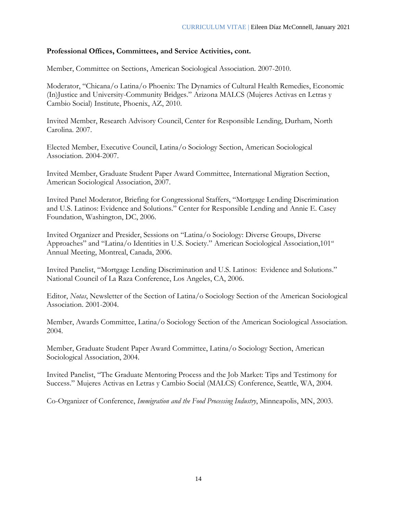## **Professional Offices, Committees, and Service Activities, cont.**

Member, Committee on Sections, American Sociological Association. 2007-2010.

Moderator, "Chicana/o Latina/o Phoenix: The Dynamics of Cultural Health Remedies, Economic (In)Justice and University-Community Bridges." Arizona MALCS (Mujeres Activas en Letras y Cambio Social) Institute, Phoenix, AZ, 2010.

Invited Member, Research Advisory Council, Center for Responsible Lending, Durham, North Carolina. 2007.

Elected Member, Executive Council, Latina/o Sociology Section, American Sociological Association. 2004-2007.

Invited Member, Graduate Student Paper Award Committee, International Migration Section, American Sociological Association, 2007.

Invited Panel Moderator, Briefing for Congressional Staffers, "Mortgage Lending Discrimination and U.S. Latinos: Evidence and Solutions." Center for Responsible Lending and Annie E. Casey Foundation, Washington, DC, 2006.

Invited Organizer and Presider, Sessions on "Latina/o Sociology: Diverse Groups, Diverse Approaches" and "Latina/o Identities in U.S. Society." American Sociological Association,101<sup>st</sup> Annual Meeting, Montreal, Canada, 2006.

Invited Panelist, "Mortgage Lending Discrimination and U.S. Latinos: Evidence and Solutions." National Council of La Raza Conference, Los Angeles, CA, 2006.

Editor, *Notas*, Newsletter of the Section of Latina/o Sociology Section of the American Sociological Association. 2001-2004.

Member, Awards Committee, Latina/o Sociology Section of the American Sociological Association. 2004.

Member, Graduate Student Paper Award Committee, Latina/o Sociology Section, American Sociological Association, 2004.

Invited Panelist, "The Graduate Mentoring Process and the Job Market: Tips and Testimony for Success." Mujeres Activas en Letras y Cambio Social (MALCS) Conference, Seattle, WA, 2004.

Co-Organizer of Conference, *Immigration and the Food Processing Industry*, Minneapolis, MN, 2003.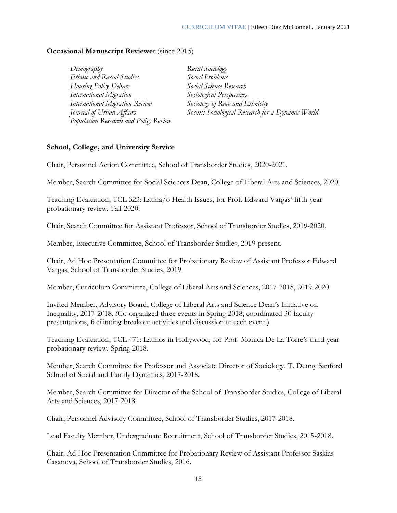## **Occasional Manuscript Reviewer** (since 2015)

| Demography                            | Rural Sociology                                   |
|---------------------------------------|---------------------------------------------------|
| Ethnic and Racial Studies             | Social Problems                                   |
| Housing Policy Debate                 | Social Science Research                           |
| <b>International Migration</b>        | Sociological Perspectives                         |
| <b>International Migration Review</b> | Sociology of Race and Ethnicity                   |
| Journal of Urban Affairs              | Socius: Sociological Research for a Dynamic World |
| Population Research and Policy Review |                                                   |

### **School, College, and University Service**

Chair, Personnel Action Committee, School of Transborder Studies, 2020-2021.

Member, Search Committee for Social Sciences Dean, College of Liberal Arts and Sciences, 2020.

Teaching Evaluation, TCL 323: Latina/o Health Issues, for Prof. Edward Vargas' fifth-year probationary review. Fall 2020.

Chair, Search Committee for Assistant Professor, School of Transborder Studies, 2019-2020.

Member, Executive Committee, School of Transborder Studies, 2019-present.

Chair, Ad Hoc Presentation Committee for Probationary Review of Assistant Professor Edward Vargas, School of Transborder Studies, 2019.

Member, Curriculum Committee, College of Liberal Arts and Sciences, 2017-2018, 2019-2020.

Invited Member, Advisory Board, College of Liberal Arts and Science Dean's Initiative on Inequality, 2017-2018. (Co-organized three events in Spring 2018, coordinated 30 faculty presentations, facilitating breakout activities and discussion at each event.)

Teaching Evaluation, TCL 471: Latinos in Hollywood, for Prof. Monica De La Torre's third-year probationary review. Spring 2018.

Member, Search Committee for Professor and Associate Director of Sociology, T. Denny Sanford School of Social and Family Dynamics, 2017-2018.

Member, Search Committee for Director of the School of Transborder Studies, College of Liberal Arts and Sciences, 2017-2018.

Chair, Personnel Advisory Committee, School of Transborder Studies, 2017-2018.

Lead Faculty Member, Undergraduate Recruitment, School of Transborder Studies, 2015-2018.

Chair, Ad Hoc Presentation Committee for Probationary Review of Assistant Professor Saskias Casanova, School of Transborder Studies, 2016.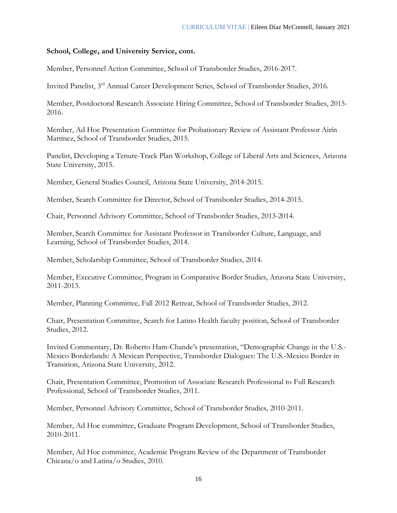## **School, College, and University Service, cont.**

Member, Personnel Action Committee, School of Transborder Studies, 2016-2017.

Invited Panelist, 3rd Annual Career Development Series, School of Transborder Studies, 2016.

Member, Postdoctoral Research Associate Hiring Committee, School of Transborder Studies, 2015- 2016.

Member, Ad Hoc Presentation Committee for Probationary Review of Assistant Professor Airín Martínez, School of Transborder Studies, 2015.

Panelist, Developing a Tenure-Track Plan Workshop, College of Liberal Arts and Sciences, Arizona State University, 2015.

Member, General Studies Council, Arizona State University, 2014-2015.

Member, Search Committee for Director, School of Transborder Studies, 2014-2015.

Chair, Personnel Advisory Committee, School of Transborder Studies, 2013-2014.

Member, Search Committee for Assistant Professor in Transborder Culture, Language, and Learning, School of Transborder Studies, 2014.

Member, Scholarship Committee, School of Transborder Studies, 2014.

Member, Executive Committee, Program in Comparative Border Studies, Arizona State University, 2011-2013.

Member, Planning Committee, Fall 2012 Retreat, School of Transborder Studies, 2012.

Chair, Presentation Committee, Search for Latino Health faculty position, School of Transborder Studies, 2012.

Invited Commentary, Dr. Roberto Ham-Chande's presentation, "Demographic Change in the U.S.- Mexico Borderlands: A Mexican Perspective, Transborder Dialogues: The U.S.-Mexico Border in Transition, Arizona State University, 2012.

Chair, Presentation Committee, Promotion of Associate Research Professional to Full Research Professional, School of Transborder Studies, 2011.

Member, Personnel Advisory Committee, School of Transborder Studies, 2010-2011.

Member, Ad Hoc committee, Graduate Program Development, School of Transborder Studies, 2010-2011.

Member, Ad Hoc committee, Academic Program Review of the Department of Transborder Chicana/o and Latina/o Studies, 2010.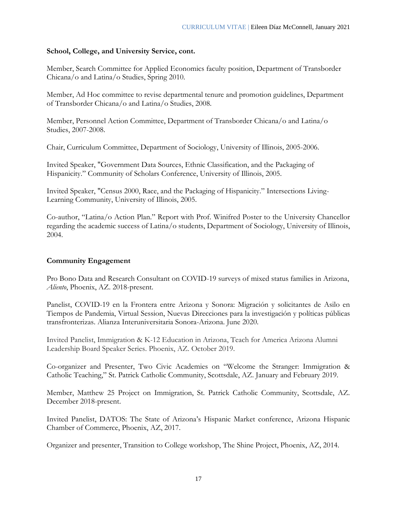## **School, College, and University Service, cont.**

Member, Search Committee for Applied Economics faculty position, Department of Transborder Chicana/o and Latina/o Studies, Spring 2010.

Member, Ad Hoc committee to revise departmental tenure and promotion guidelines, Department of Transborder Chicana/o and Latina/o Studies, 2008.

Member, Personnel Action Committee, Department of Transborder Chicana/o and Latina/o Studies, 2007-2008.

Chair, Curriculum Committee, Department of Sociology, University of Illinois, 2005-2006.

Invited Speaker, "Government Data Sources, Ethnic Classification, and the Packaging of Hispanicity." Community of Scholars Conference, University of Illinois, 2005.

Invited Speaker, "Census 2000, Race, and the Packaging of Hispanicity." Intersections Living-Learning Community, University of Illinois, 2005.

Co-author, "Latina/o Action Plan." Report with Prof. Winifred Poster to the University Chancellor regarding the academic success of Latina/o students, Department of Sociology, University of Illinois, 2004.

## **Community Engagement**

Pro Bono Data and Research Consultant on COVID-19 surveys of mixed status families in Arizona, *Aliento*, Phoenix, AZ. 2018-present.

Panelist, COVID-19 en la Frontera entre Arizona y Sonora: Migración y solicitantes de Asilo en Tiempos de Pandemia, Virtual Session, Nuevas Direcciones para la investigación y políticas públicas transfronterizas. Alianza Interuniversitaria Sonora-Arizona. June 2020.

Invited Panelist, Immigration & K-12 Education in Arizona, Teach for America Arizona Alumni Leadership Board Speaker Series. Phoenix, AZ. October 2019.

Co-organizer and Presenter, Two Civic Academies on "Welcome the Stranger: Immigration & Catholic Teaching," St. Patrick Catholic Community, Scottsdale, AZ. January and February 2019.

Member, Matthew 25 Project on Immigration, St. Patrick Catholic Community, Scottsdale, AZ. December 2018-present.

Invited Panelist, DATOS: The State of Arizona's Hispanic Market conference, Arizona Hispanic Chamber of Commerce, Phoenix, AZ, 2017.

Organizer and presenter, Transition to College workshop, The Shine Project, Phoenix, AZ, 2014.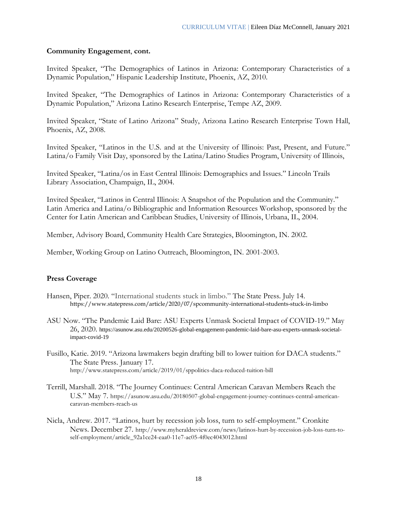## **Community Engagement**, **cont.**

Invited Speaker, "The Demographics of Latinos in Arizona: Contemporary Characteristics of a Dynamic Population," Hispanic Leadership Institute, Phoenix, AZ, 2010.

Invited Speaker, "The Demographics of Latinos in Arizona: Contemporary Characteristics of a Dynamic Population," Arizona Latino Research Enterprise, Tempe AZ, 2009.

Invited Speaker, "State of Latino Arizona" Study, Arizona Latino Research Enterprise Town Hall, Phoenix, AZ, 2008.

Invited Speaker, "Latinos in the U.S. and at the University of Illinois: Past, Present, and Future." Latina/o Family Visit Day, sponsored by the Latina/Latino Studies Program, University of Illinois,

Invited Speaker, "Latina/os in East Central Illinois: Demographics and Issues." Lincoln Trails Library Association, Champaign, IL, 2004.

Invited Speaker, "Latinos in Central Illinois: A Snapshot of the Population and the Community." Latin America and Latina/o Bibliographic and Information Resources Workshop, sponsored by the Center for Latin American and Caribbean Studies, University of Illinois, Urbana, IL, 2004.

Member, Advisory Board, Community Health Care Strategies, Bloomington, IN. 2002.

Member, Working Group on Latino Outreach, Bloomington, IN. 2001-2003.

## **Press Coverage**

- Hansen, Piper. 2020. "International students stuck in limbo." The State Press. July 14. https://www.statepress.com/article/2020/07/spcommunity-international-students-stuck-in-limbo
- ASU Now. "The Pandemic Laid Bare: ASU Experts Unmask Societal Impact of COVID-19." May 26, 2020. https://asunow.asu.edu/20200526-global-engagement-pandemic-laid-bare-asu-experts-unmask-societalimpact-covid-19
- Fusillo, Katie. 2019. "Arizona lawmakers begin drafting bill to lower tuition for DACA students." The State Press. January 17. http://www.statepress.com/article/2019/01/sppolitics-daca-reduced-tuition-bill
- Terrill, Marshall. 2018. "The Journey Continues: Central American Caravan Members Reach the U.S." May 7. https://asunow.asu.edu/20180507-global-engagement-journey-continues-central-americancaravan-members-reach-us
- Nicla, Andrew. 2017. "Latinos, hurt by recession job loss, turn to self-employment." Cronkite News. December 27. http://www.myheraldreview.com/news/latinos-hurt-by-recession-job-loss-turn-toself-employment/article\_92a1ce24-eaa0-11e7-ac05-4f0ec4043012.html